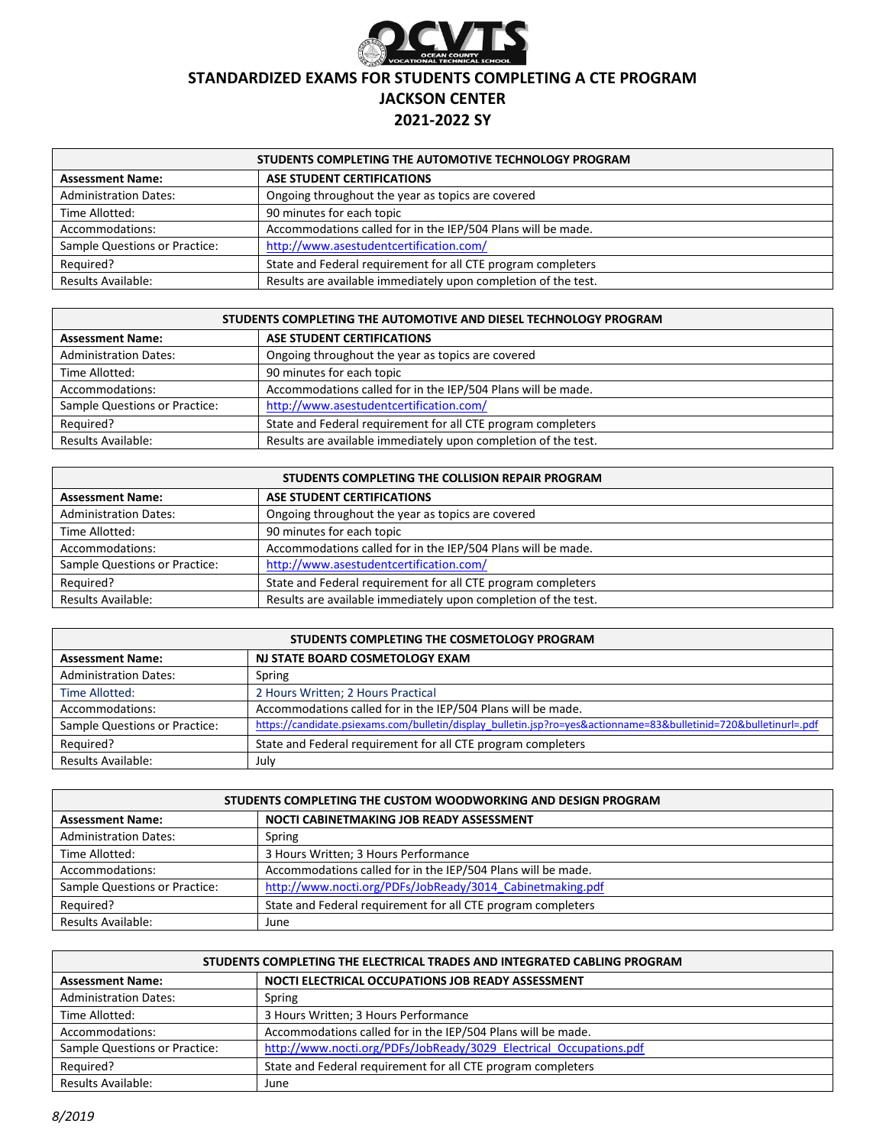

#### **STANDARDIZED EXAMS FOR STUDENTS COMPLETING A CTE PROGRAM JACKSON CENTER**

## **2021-2022 SY**

| STUDENTS COMPLETING THE AUTOMOTIVE TECHNOLOGY PROGRAM |                                                                |  |
|-------------------------------------------------------|----------------------------------------------------------------|--|
| <b>Assessment Name:</b>                               | <b>ASE STUDENT CERTIFICATIONS</b>                              |  |
| <b>Administration Dates:</b>                          | Ongoing throughout the year as topics are covered              |  |
| Time Allotted:                                        | 90 minutes for each topic                                      |  |
| Accommodations:                                       | Accommodations called for in the IEP/504 Plans will be made.   |  |
| Sample Questions or Practice:                         | http://www.asestudentcertification.com/                        |  |
| Required?                                             | State and Federal requirement for all CTE program completers   |  |
| <b>Results Available:</b>                             | Results are available immediately upon completion of the test. |  |

| STUDENTS COMPLETING THE AUTOMOTIVE AND DIESEL TECHNOLOGY PROGRAM |                                                                |  |
|------------------------------------------------------------------|----------------------------------------------------------------|--|
| <b>Assessment Name:</b>                                          | <b>ASE STUDENT CERTIFICATIONS</b>                              |  |
| <b>Administration Dates:</b>                                     | Ongoing throughout the year as topics are covered              |  |
| Time Allotted:                                                   | 90 minutes for each topic                                      |  |
| Accommodations:                                                  | Accommodations called for in the IEP/504 Plans will be made.   |  |
| Sample Questions or Practice:                                    | http://www.asestudentcertification.com/                        |  |
| Required?                                                        | State and Federal requirement for all CTE program completers   |  |
| <b>Results Available:</b>                                        | Results are available immediately upon completion of the test. |  |

| STUDENTS COMPLETING THE COLLISION REPAIR PROGRAM |                                                                |  |
|--------------------------------------------------|----------------------------------------------------------------|--|
| <b>Assessment Name:</b>                          | <b>ASE STUDENT CERTIFICATIONS</b>                              |  |
| <b>Administration Dates:</b>                     | Ongoing throughout the year as topics are covered              |  |
| Time Allotted:                                   | 90 minutes for each topic                                      |  |
| Accommodations:                                  | Accommodations called for in the IEP/504 Plans will be made.   |  |
| <b>Sample Questions or Practice:</b>             | http://www.asestudentcertification.com/                        |  |
| Required?                                        | State and Federal requirement for all CTE program completers   |  |
| <b>Results Available:</b>                        | Results are available immediately upon completion of the test. |  |

| STUDENTS COMPLETING THE COSMETOLOGY PROGRAM |                                                                                                                   |  |
|---------------------------------------------|-------------------------------------------------------------------------------------------------------------------|--|
| <b>Assessment Name:</b>                     | NJ STATE BOARD COSMETOLOGY EXAM                                                                                   |  |
| <b>Administration Dates:</b>                | Spring                                                                                                            |  |
| Time Allotted:                              | 2 Hours Written; 2 Hours Practical                                                                                |  |
| Accommodations:                             | Accommodations called for in the IEP/504 Plans will be made.                                                      |  |
| Sample Questions or Practice:               | https://candidate.psiexams.com/bulletin/display_bulletin.jsp?ro=yes&actionname=83&bulletinid=720&bulletinurl=.pdf |  |
| Required?                                   | State and Federal requirement for all CTE program completers                                                      |  |
| Results Available:                          | July                                                                                                              |  |

| STUDENTS COMPLETING THE CUSTOM WOODWORKING AND DESIGN PROGRAM |                                                              |  |
|---------------------------------------------------------------|--------------------------------------------------------------|--|
| <b>Assessment Name:</b>                                       | NOCTI CABINETMAKING JOB READY ASSESSMENT                     |  |
| <b>Administration Dates:</b>                                  | Spring                                                       |  |
| Time Allotted:                                                | 3 Hours Written; 3 Hours Performance                         |  |
| Accommodations:                                               | Accommodations called for in the IEP/504 Plans will be made. |  |
| Sample Questions or Practice:                                 | http://www.nocti.org/PDFs/JobReady/3014 Cabinetmaking.pdf    |  |
| Required?                                                     | State and Federal requirement for all CTE program completers |  |
| <b>Results Available:</b>                                     | June                                                         |  |

| STUDENTS COMPLETING THE ELECTRICAL TRADES AND INTEGRATED CABLING PROGRAM |                                                                    |  |
|--------------------------------------------------------------------------|--------------------------------------------------------------------|--|
| <b>Assessment Name:</b>                                                  | NOCTI ELECTRICAL OCCUPATIONS JOB READY ASSESSMENT                  |  |
| <b>Administration Dates:</b>                                             | Spring                                                             |  |
| Time Allotted:                                                           | 3 Hours Written; 3 Hours Performance                               |  |
| Accommodations:                                                          | Accommodations called for in the IEP/504 Plans will be made.       |  |
| Sample Questions or Practice:                                            | http://www.nocti.org/PDFs/JobReady/3029 Electrical Occupations.pdf |  |
| Reguired?                                                                | State and Federal requirement for all CTE program completers       |  |
| Results Available:                                                       | June                                                               |  |